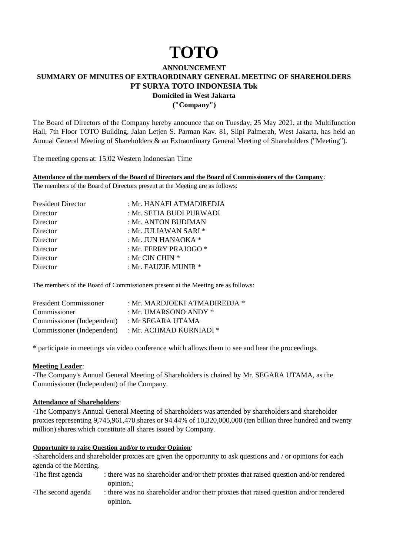# **TOTO**

## **ANNOUNCEMENT SUMMARY OF MINUTES OF EXTRAORDINARY GENERAL MEETING OF SHAREHOLDERS PT SURYA TOTO INDONESIA Tbk Domiciled in West Jakarta**

**("Company")**

The Board of Directors of the Company hereby announce that on Tuesday, 25 May 2021, at the Multifunction Hall, 7th Floor TOTO Building, Jalan Letjen S. Parman Kav. 81, Slipi Palmerah, West Jakarta, has held an Annual General Meeting of Shareholders & an Extraordinary General Meeting of Shareholders ("Meeting").

The meeting opens at: 15.02 Western Indonesian Time

#### **Attendance of the members of the Board of Directors and the Board of Commissioners of the Company**:

The members of the Board of Directors present at the Meeting are as follows:

| <b>President Director</b> | : Mr. HANAFI ATMADIREDJA |
|---------------------------|--------------------------|
| Director                  | : Mr. SETIA BUDI PURWADI |
| Director                  | : Mr. ANTON BUDIMAN      |
| Director                  | : Mr. JULIAWAN SARI *    |
| Director                  | : Mr. JUN HANAOKA *      |
| Director                  | : Mr. FERRY PRAJOGO *    |
| Director                  | : Mr CIN CHIN *          |
| Director                  | : Mr. FAUZIE MUNIR *     |

The members of the Board of Commissioners present at the Meeting are as follows:

| : Mr. MARDJOEKI ATMADIREDJA $*$ |
|---------------------------------|
| : Mr. UMARSONO ANDY $*$         |
| : Mr SEGARA UTAMA               |
| : Mr. ACHMAD KURNIADI $^*$      |
|                                 |

\* participate in meetings via video conference which allows them to see and hear the proceedings.

#### **Meeting Leader**:

-The Company's Annual General Meeting of Shareholders is chaired by Mr. SEGARA UTAMA, as the Commissioner (Independent) of the Company.

#### **Attendance of Shareholders**:

-The Company's Annual General Meeting of Shareholders was attended by shareholders and shareholder proxies representing 9,745,961,470 shares or 94.44% of 10,320,000,000 (ten billion three hundred and twenty million) shares which constitute all shares issued by Company.

#### **Opportunity to raise Question and/or to render Opinion**:

-Shareholders and shareholder proxies are given the opportunity to ask questions and / or opinions for each agenda of the Meeting.

| -The first agenda  | : there was no shareholder and/or their proxies that raised question and/or rendered |
|--------------------|--------------------------------------------------------------------------------------|
|                    | opinion.:                                                                            |
| -The second agenda | : there was no shareholder and/or their proxies that raised question and/or rendered |
|                    | opinion.                                                                             |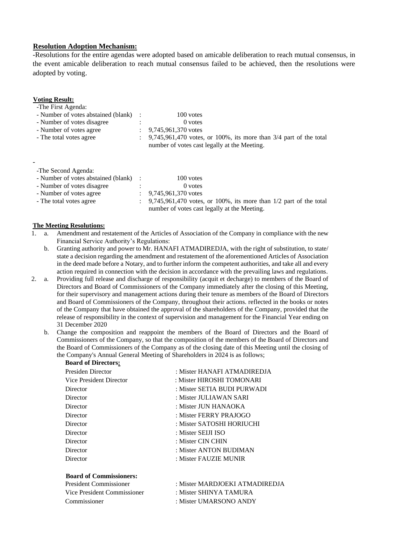### **Resolution Adoption Mechanism:**

-Resolutions for the entire agendas were adopted based on amicable deliberation to reach mutual consensus, in the event amicable deliberation to reach mutual consensus failed to be achieved, then the resolutions were adopted by voting.

| -The First Agenda:                    |   |                                                                                                                       |
|---------------------------------------|---|-----------------------------------------------------------------------------------------------------------------------|
| - Number of votes abstained (blank)   |   | 100 votes                                                                                                             |
| - Number of votes disagree            |   | $0$ votes                                                                                                             |
| - Number of votes agree               |   | 9,745,961,370 votes                                                                                                   |
| - The total votes agree               |   | $9,745,961,470$ votes, or 100%, its more than $3/4$ part of the total<br>number of votes cast legally at the Meeting. |
| -The Second Agenda:                   |   |                                                                                                                       |
| - Number of votes abstained (blank) : |   | 100 votes                                                                                                             |
| - Number of votes disagree            | ٠ | $0$ votes                                                                                                             |

- Number of votes disagree : 0.000.000. 0 votes - Number of votes agree : 9,745,961,370 votes<br>- The total votes agree : 9,745,961,470 votes  $\therefore$  9,745,961,470 votes, or 100%, its more than 1/2 part of the total number of votes cast legally at the Meeting.

#### **The Meeting Resolutions:**

**Board of Directors:**

**Voting Result:**

- 1. a. Amendment and restatement of the Articles of Association of the Company in compliance with the new Financial Service Authority's Regulations:
	- b. Granting authority and power to Mr. HANAFI ATMADIREDJA, with the right of substitution, to state/ state a decision regarding the amendment and restatement of the aforementioned Articles of Association in the deed made before a Notary, and to further inform the competent authorities, and take all and every action required in connection with the decision in accordance with the prevailing laws and regulations.
- 2. a. Providing full release and discharge of responsibility (acquit et decharge) to members of the Board of Directors and Board of Commissioners of the Company immediately after the closing of this Meeting, for their supervisory and management actions during their tenure as members of the Board of Directors and Board of Commissioners of the Company, throughout their actions. reflected in the books or notes of the Company that have obtained the approval of the shareholders of the Company, provided that the release of responsibility in the context of supervision and management for the Financial Year ending on 31 December 2020
	- b. Change the composition and reappoint the members of the Board of Directors and the Board of Commissioners of the Company, so that the composition of the members of the Board of Directors and the Board of Commissioners of the Company as of the closing date of this Meeting until the closing of the Company's Annual General Meeting of Shareholders in 2024 is as follows;

| board of Bircetors:            |                                |
|--------------------------------|--------------------------------|
| Presiden Director              | : Mister HANAFI ATMADIREDJA    |
| Vice President Director        | : Mister HIROSHI TOMONARI      |
| Director                       | : Mister SETIA BUDI PURWADI    |
| Director                       | : Mister JULIAWAN SARI         |
| Director                       | : Mister JUN HANAOKA           |
| Director                       | : Mister FERRY PRAJOGO         |
| Director                       | : Mister SATOSHI HORIUCHI      |
| Director                       | : Mister SELII ISO             |
| Director                       | : Mister CIN CHIN              |
| Director                       | : Mister ANTON BUDIMAN         |
| Director                       | : Mister FAUZIE MUNIR          |
| <b>Board of Commissioners:</b> |                                |
| President Commissioner         | : Mister MARDJOEKI ATMADIREDJA |

Vice President Commissioner : Mister SHINYA TAMURA Commissioner : Mister UMARSONO ANDY